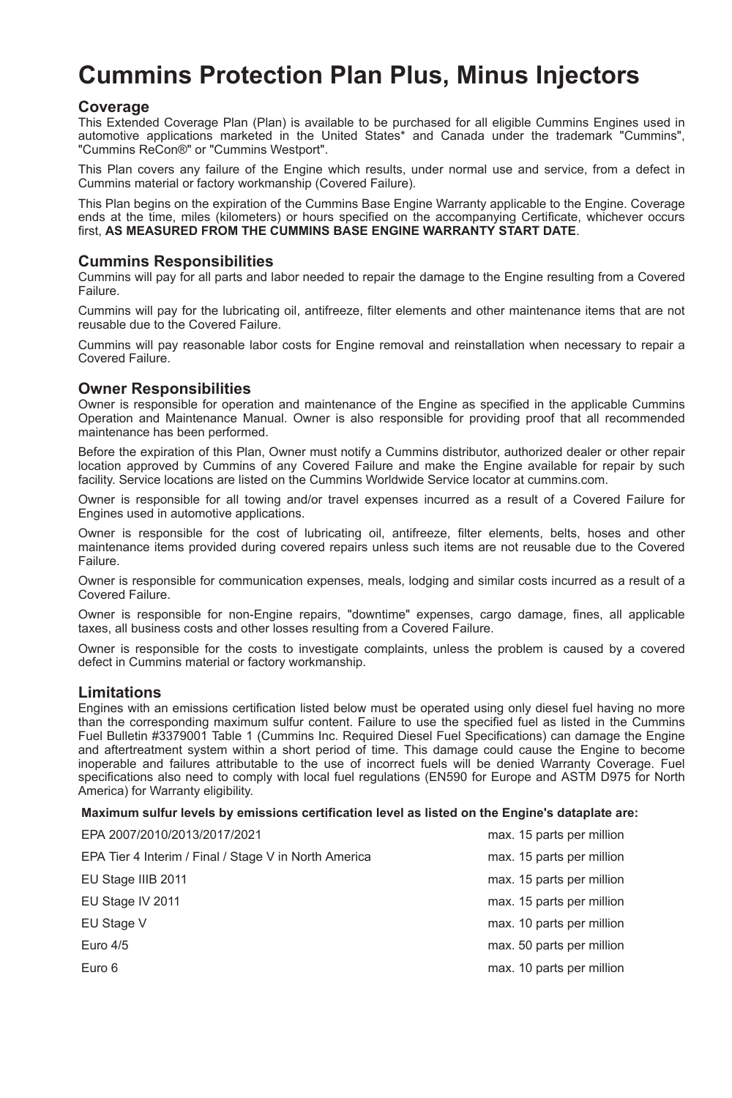# **Cummins Protection Plan Plus, Minus Injectors**

## **Coverage**

This Extended Coverage Plan (Plan) is available to be purchased for all eligible Cummins Engines used in automotive applications marketed in the United States\* and Canada under the trademark "Cummins", "Cummins ReCon®" or "Cummins Westport".

This Plan covers any failure of the Engine which results, under normal use and service, from a defect in Cummins material or factory workmanship (Covered Failure).

This Plan begins on the expiration of the Cummins Base Engine Warranty applicable to the Engine. Coverage ends at the time, miles (kilometers) or hours specified on the accompanying Certificate, whichever occurs first, **AS MEASURED FROM THE CUMMINS BASE ENGINE WARRANTY START DATE**.

## **Cummins Responsibilities**

Cummins will pay for all parts and labor needed to repair the damage to the Engine resulting from a Covered Failure.

Cummins will pay for the lubricating oil, antifreeze, filter elements and other maintenance items that are not reusable due to the Covered Failure.

Cummins will pay reasonable labor costs for Engine removal and reinstallation when necessary to repair a Covered Failure.

#### **Owner Responsibilities**

Owner is responsible for operation and maintenance of the Engine as specified in the applicable Cummins Operation and Maintenance Manual. Owner is also responsible for providing proof that all recommended maintenance has been performed.

Before the expiration of this Plan, Owner must notify a Cummins distributor, authorized dealer or other repair location approved by Cummins of any Covered Failure and make the Engine available for repair by such facility. Service locations are listed on the Cummins Worldwide Service locator at cummins.com.

Owner is responsible for all towing and/or travel expenses incurred as a result of a Covered Failure for Engines used in automotive applications.

Owner is responsible for the cost of lubricating oil, antifreeze, filter elements, belts, hoses and other maintenance items provided during covered repairs unless such items are not reusable due to the Covered Failure.

Owner is responsible for communication expenses, meals, lodging and similar costs incurred as a result of a Covered Failure.

Owner is responsible for non-Engine repairs, "downtime" expenses, cargo damage, fines, all applicable taxes, all business costs and other losses resulting from a Covered Failure.

Owner is responsible for the costs to investigate complaints, unless the problem is caused by a covered defect in Cummins material or factory workmanship.

## **Limitations**

Engines with an emissions certification listed below must be operated using only diesel fuel having no more than the corresponding maximum sulfur content. Failure to use the specified fuel as listed in the Cummins Fuel Bulletin #3379001 Table 1 (Cummins Inc. Required Diesel Fuel Specifications) can damage the Engine and aftertreatment system within a short period of time. This damage could cause the Engine to become inoperable and failures attributable to the use of incorrect fuels will be denied Warranty Coverage. Fuel specifications also need to comply with local fuel regulations (EN590 for Europe and ASTM D975 for North America) for Warranty eligibility.

#### **Maximum sulfur levels by emissions certification level as listed on the Engine's dataplate are:**

| EPA 2007/2010/2013/2017/2021                          | max. 15 parts per million |
|-------------------------------------------------------|---------------------------|
| EPA Tier 4 Interim / Final / Stage V in North America | max. 15 parts per million |
| EU Stage IIIB 2011                                    | max. 15 parts per million |
| EU Stage IV 2011                                      | max. 15 parts per million |
| EU Stage V                                            | max. 10 parts per million |
| Euro $4/5$                                            | max. 50 parts per million |
| Euro 6                                                | max. 10 parts per million |
|                                                       |                           |